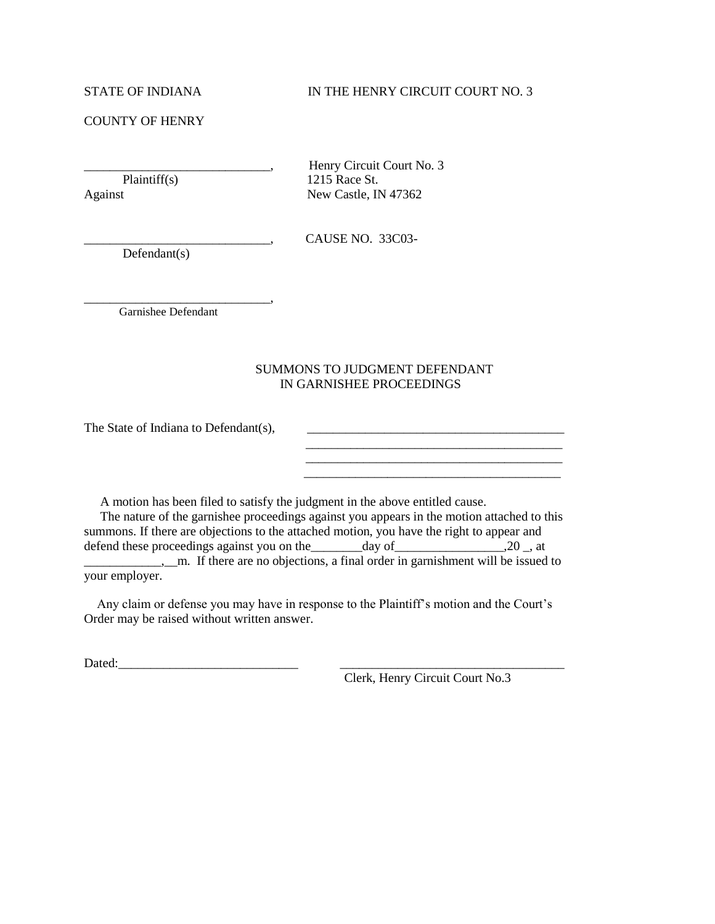## COUNTY OF HENRY

Henry Circuit Court No. 3 Plaintiff(s) 1215 Race St. Against New Castle, IN 47362

Defendant(s)

\_\_\_\_\_\_\_\_\_\_\_\_\_\_\_\_\_\_\_\_\_\_\_\_\_\_\_\_\_, CAUSE NO. 33C03-

\_\_\_\_\_\_\_\_\_\_\_\_\_\_\_\_\_\_\_\_\_\_\_\_\_\_\_\_\_, Garnishee Defendant

## SUMMONS TO JUDGMENT DEFENDANT IN GARNISHEE PROCEEDINGS

The State of Indiana to Defendant(s),  $\qquad \qquad \qquad$ 

A motion has been filed to satisfy the judgment in the above entitled cause.

 The nature of the garnishee proceedings against you appears in the motion attached to this summons. If there are objections to the attached motion, you have the right to appear and defend these proceedings against you on the  $\qquad \qquad$  day of  $\qquad \qquad$  20  $\qquad$ , at  $\frac{1}{2}$  m. If there are no objections, a final order in garnishment will be issued to your employer.

 Any claim or defense you may have in response to the Plaintiff's motion and the Court's Order may be raised without written answer.

Dated:

Clerk, Henry Circuit Court No.3

\_\_\_\_\_\_\_\_\_\_\_\_\_\_\_\_\_\_\_\_\_\_\_\_\_\_\_\_\_\_\_\_\_\_\_\_\_\_\_\_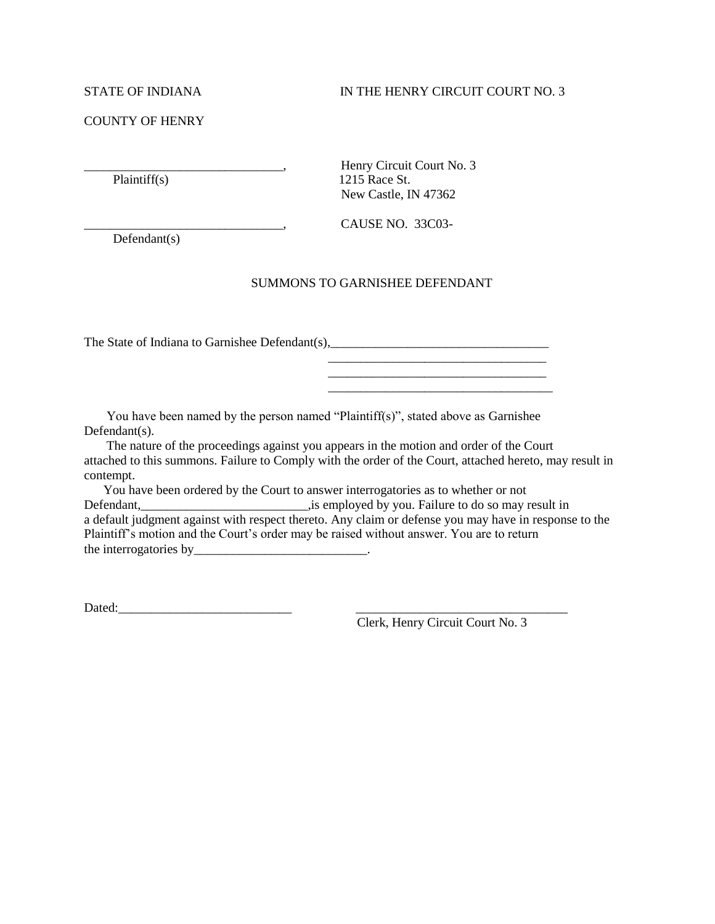#### COUNTY OF HENRY

\_\_\_\_\_\_\_\_\_\_\_\_\_\_\_\_\_\_\_\_\_\_\_\_\_\_\_\_\_\_\_, Henry Circuit Court No. 3 Plaintiff(s) 1215 Race St. New Castle, IN 47362

 $\begin{array}{ccc}\n\text{CAUSE NO. } 33 \text{CO}3-\end{array}$ 

Defendant(s)

#### SUMMONS TO GARNISHEE DEFENDANT

The State of Indiana to Garnishee Defendant(s),

 You have been named by the person named "Plaintiff(s)", stated above as Garnishee Defendant(s).

 $\overline{\phantom{a}}$  , and the contract of the contract of the contract of the contract of the contract of the contract of the contract of the contract of the contract of the contract of the contract of the contract of the contrac

 The nature of the proceedings against you appears in the motion and order of the Court attached to this summons. Failure to Comply with the order of the Court, attached hereto, may result in contempt.

 You have been ordered by the Court to answer interrogatories as to whether or not Defendant,\_\_\_\_\_\_\_\_\_\_\_\_\_\_\_\_\_\_\_\_\_\_\_\_\_\_,is employed by you. Failure to do so may result in a default judgment against with respect thereto. Any claim or defense you may have in response to the Plaintiff's motion and the Court's order may be raised without answer. You are to return the interrogatories by\_\_\_\_\_\_\_\_\_\_\_\_\_\_\_\_\_\_\_\_\_\_\_\_\_\_\_.

Dated:\_\_\_\_\_\_\_\_\_\_\_\_\_\_\_\_\_\_\_\_\_\_\_\_\_\_\_ \_\_\_\_\_\_\_\_\_\_\_\_\_\_\_\_\_\_\_\_\_\_\_\_\_\_\_\_\_\_\_\_\_

Clerk, Henry Circuit Court No. 3

\_\_\_\_\_\_\_\_\_\_\_\_\_\_\_\_\_\_\_\_\_\_\_\_\_\_\_\_\_\_\_\_\_\_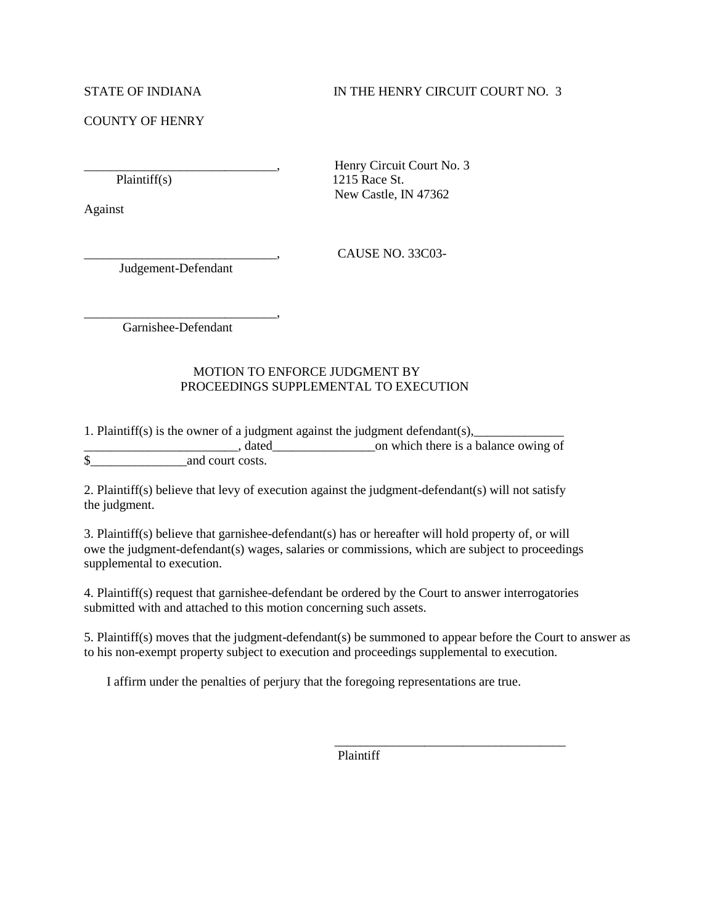### COUNTY OF HENRY

Against

Judgement-Defendant

Henry Circuit Court No. 3 Plaintiff(s) 1215 Race St. New Castle, IN 47362

\_\_\_\_\_\_\_\_\_\_\_\_\_\_\_\_\_\_\_\_\_\_\_\_\_\_\_\_\_\_, CAUSE NO. 33C03-

\_\_\_\_\_\_\_\_\_\_\_\_\_\_\_\_\_\_\_\_\_\_\_\_\_\_\_\_\_\_, Garnishee-Defendant

# MOTION TO ENFORCE JUDGMENT BY PROCEEDINGS SUPPLEMENTAL TO EXECUTION

1. Plaintiff(s) is the owner of a judgment against the judgment defendant(s),

and a balance owing of the same stated and a balance owing of  $\alpha$ \$ and court costs.

2. Plaintiff(s) believe that levy of execution against the judgment-defendant(s) will not satisfy the judgment.

3. Plaintiff(s) believe that garnishee-defendant(s) has or hereafter will hold property of, or will owe the judgment-defendant(s) wages, salaries or commissions, which are subject to proceedings supplemental to execution.

4. Plaintiff(s) request that garnishee-defendant be ordered by the Court to answer interrogatories submitted with and attached to this motion concerning such assets.

5. Plaintiff(s) moves that the judgment-defendant(s) be summoned to appear before the Court to answer as to his non-exempt property subject to execution and proceedings supplemental to execution.

I affirm under the penalties of perjury that the foregoing representations are true.

 $\frac{1}{\sqrt{2\pi}}$  , which is a set of the set of the set of the set of the set of the set of the set of the set of the set of the set of the set of the set of the set of the set of the set of the set of the set of the set of

Plaintiff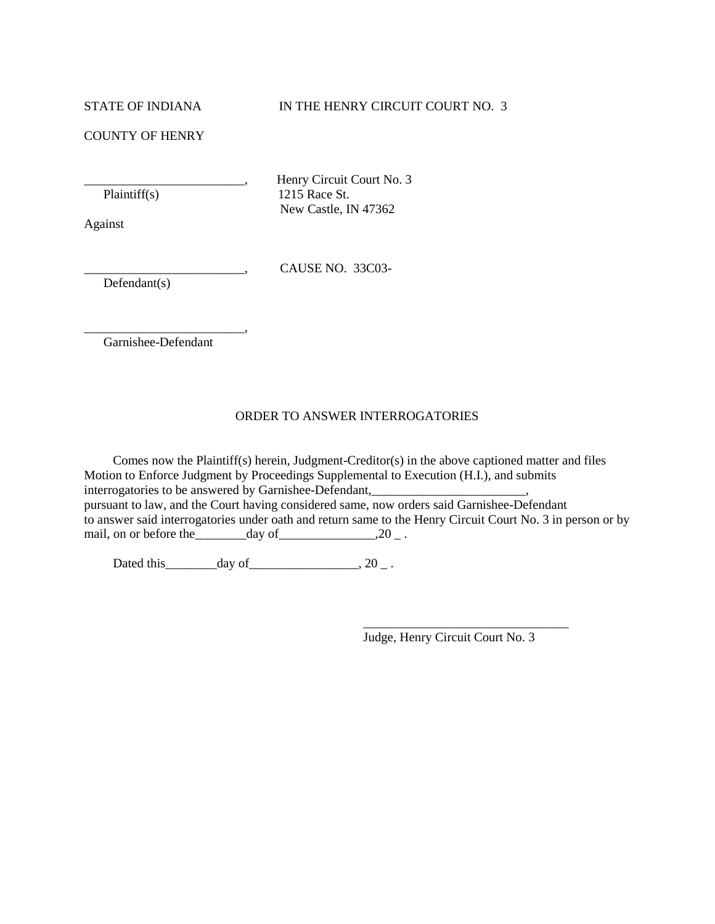COUNTY OF HENRY

\_\_\_\_\_\_\_\_\_\_\_\_\_\_\_\_\_\_\_\_\_\_\_\_\_, Henry Circuit Court No. 3 Plaintiff(s) 1215 Race St. New Castle, IN 47362

Against

\_\_\_\_\_\_\_\_\_\_\_\_\_\_\_\_\_\_\_\_\_\_\_\_\_, CAUSE NO. 33C03-

Defendant(s)

\_\_\_\_\_\_\_\_\_\_\_\_\_\_\_\_\_\_\_\_\_\_\_\_\_, Garnishee-Defendant

#### ORDER TO ANSWER INTERROGATORIES

 Comes now the Plaintiff(s) herein, Judgment-Creditor(s) in the above captioned matter and files Motion to Enforce Judgment by Proceedings Supplemental to Execution (H.I.), and submits interrogatories to be answered by Garnishee-Defendant,\_\_\_\_\_\_\_\_\_\_\_\_\_\_\_\_\_\_\_\_\_\_\_\_, pursuant to law, and the Court having considered same, now orders said Garnishee-Defendant to answer said interrogatories under oath and return same to the Henry Circuit Court No. 3 in person or by mail, on or before the  $\qquad \qquad \text{day of} \qquad \qquad .20 \qquad .$ 

 $\overline{\phantom{a}}$  , and the contract of the contract of the contract of the contract of the contract of the contract of the contract of the contract of the contract of the contract of the contract of the contract of the contrac

Dated this  $\_\_\_\_\_\_\_\$  day of  $\_\_\_\_\_\_\_\_\$ 

Judge, Henry Circuit Court No. 3